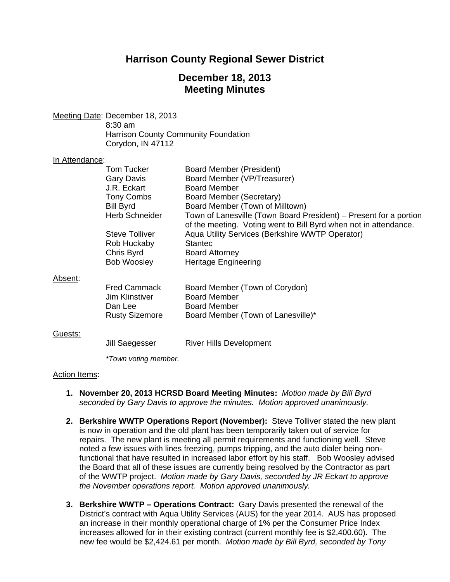# **Harrison County Regional Sewer District**

# **December 18, 2013 Meeting Minutes**

Meeting Date: December 18, 2013 8:30 am Harrison County Community Foundation Corydon, IN 47112

#### In Attendance:

|         | Tom Tucker                  | <b>Board Member (President)</b>                                                                                                       |  |
|---------|-----------------------------|---------------------------------------------------------------------------------------------------------------------------------------|--|
|         | Gary Davis                  | Board Member (VP/Treasurer)                                                                                                           |  |
|         | J.R. Eckart                 | <b>Board Member</b>                                                                                                                   |  |
|         | <b>Tony Combs</b>           | Board Member (Secretary)                                                                                                              |  |
|         | <b>Bill Byrd</b>            | Board Member (Town of Milltown)                                                                                                       |  |
|         | <b>Herb Schneider</b>       | Town of Lanesville (Town Board President) – Present for a portion<br>of the meeting. Voting went to Bill Byrd when not in attendance. |  |
|         | Steve Tolliver              | Aqua Utility Services (Berkshire WWTP Operator)                                                                                       |  |
|         | Rob Huckaby                 | <b>Stantec</b>                                                                                                                        |  |
|         | Chris Byrd                  | <b>Board Attorney</b>                                                                                                                 |  |
|         | <b>Bob Woosley</b>          | <b>Heritage Engineering</b>                                                                                                           |  |
| Absent: |                             |                                                                                                                                       |  |
|         | <b>Fred Cammack</b>         | Board Member (Town of Corydon)                                                                                                        |  |
|         | <b>Jim Klinstiver</b>       | <b>Board Member</b>                                                                                                                   |  |
|         | Dan Lee                     | <b>Board Member</b>                                                                                                                   |  |
|         | <b>Rusty Sizemore</b>       | Board Member (Town of Lanesville)*                                                                                                    |  |
| Guests: |                             |                                                                                                                                       |  |
|         | Jill Saegesser              | <b>River Hills Development</b>                                                                                                        |  |
|         | <i>*Town voting member.</i> |                                                                                                                                       |  |

#### Action Items:

- **1. November 20, 2013 HCRSD Board Meeting Minutes:** *Motion made by Bill Byrd seconded by Gary Davis to approve the minutes. Motion approved unanimously.*
- **2. Berkshire WWTP Operations Report (November):** Steve Tolliver stated the new plant is now in operation and the old plant has been temporarily taken out of service for repairs. The new plant is meeting all permit requirements and functioning well. Steve noted a few issues with lines freezing, pumps tripping, and the auto dialer being nonfunctional that have resulted in increased labor effort by his staff. Bob Woosley advised the Board that all of these issues are currently being resolved by the Contractor as part of the WWTP project. *Motion made by Gary Davis, seconded by JR Eckart to approve the November operations report. Motion approved unanimously.*
- **3. Berkshire WWTP Operations Contract:** Gary Davis presented the renewal of the District's contract with Aqua Utility Services (AUS) for the year 2014. AUS has proposed an increase in their monthly operational charge of 1% per the Consumer Price Index increases allowed for in their existing contract (current monthly fee is \$2,400.60). The new fee would be \$2,424.61 per month. *Motion made by Bill Byrd, seconded by Tony*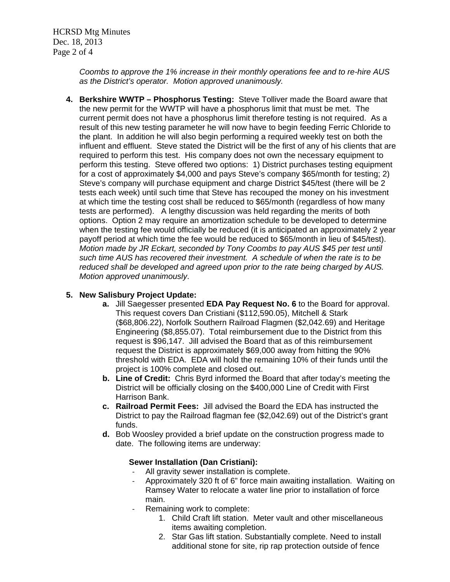HCRSD Mtg Minutes Dec. 18, 2013 Page 2 of 4

> *Coombs to approve the 1% increase in their monthly operations fee and to re-hire AUS as the District's operator. Motion approved unanimously.*

**4. Berkshire WWTP – Phosphorus Testing:** Steve Tolliver made the Board aware that the new permit for the WWTP will have a phosphorus limit that must be met. The current permit does not have a phosphorus limit therefore testing is not required. As a result of this new testing parameter he will now have to begin feeding Ferric Chloride to the plant. In addition he will also begin performing a required weekly test on both the influent and effluent. Steve stated the District will be the first of any of his clients that are required to perform this test. His company does not own the necessary equipment to perform this testing. Steve offered two options: 1) District purchases testing equipment for a cost of approximately \$4,000 and pays Steve's company \$65/month for testing; 2) Steve's company will purchase equipment and charge District \$45/test (there will be 2 tests each week) until such time that Steve has recouped the money on his investment at which time the testing cost shall be reduced to \$65/month (regardless of how many tests are performed). A lengthy discussion was held regarding the merits of both options. Option 2 may require an amortization schedule to be developed to determine when the testing fee would officially be reduced (it is anticipated an approximately 2 year payoff period at which time the fee would be reduced to \$65/month in lieu of \$45/test). *Motion made by JR Eckart, seconded by Tony Coombs to pay AUS \$45 per test until such time AUS has recovered their investment. A schedule of when the rate is to be reduced shall be developed and agreed upon prior to the rate being charged by AUS. Motion approved unanimously*.

### **5. New Salisbury Project Update:**

- **a.** Jill Saegesser presented **EDA Pay Request No. 6** to the Board for approval. This request covers Dan Cristiani (\$112,590.05), Mitchell & Stark (\$68,806.22), Norfolk Southern Railroad Flagmen (\$2,042.69) and Heritage Engineering (\$8,855.07). Total reimbursement due to the District from this request is \$96,147. Jill advised the Board that as of this reimbursement request the District is approximately \$69,000 away from hitting the 90% threshold with EDA. EDA will hold the remaining 10% of their funds until the project is 100% complete and closed out.
- **b. Line of Credit:** Chris Byrd informed the Board that after today's meeting the District will be officially closing on the \$400,000 Line of Credit with First Harrison Bank.
- **c. Railroad Permit Fees:**Jill advised the Board the EDA has instructed the District to pay the Railroad flagman fee (\$2,042.69) out of the District's grant funds.
- **d.** Bob Woosley provided a brief update on the construction progress made to date. The following items are underway:

### **Sewer Installation (Dan Cristiani):**

- ‐ All gravity sewer installation is complete.
- ‐ Approximately 320 ft of 6" force main awaiting installation. Waiting on Ramsey Water to relocate a water line prior to installation of force main.
- ‐ Remaining work to complete:
	- 1. Child Craft lift station. Meter vault and other miscellaneous items awaiting completion.
	- 2. Star Gas lift station. Substantially complete. Need to install additional stone for site, rip rap protection outside of fence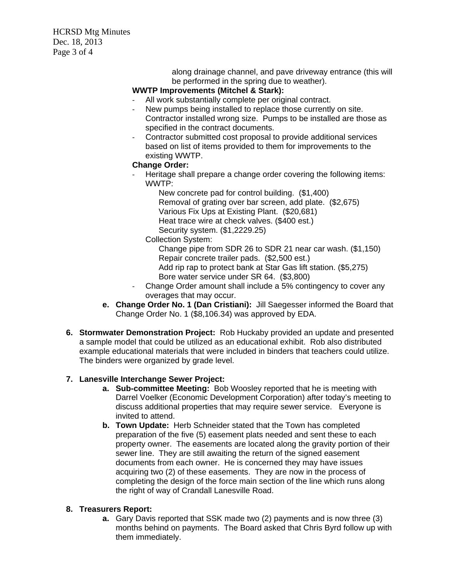HCRSD Mtg Minutes Dec. 18, 2013 Page 3 of 4

> along drainage channel, and pave driveway entrance (this will be performed in the spring due to weather).

## **WWTP Improvements (Mitchel & Stark):**

- ‐ All work substantially complete per original contract.
- New pumps being installed to replace those currently on site. Contractor installed wrong size. Pumps to be installed are those as specified in the contract documents.
- ‐ Contractor submitted cost proposal to provide additional services based on list of items provided to them for improvements to the existing WWTP.

### **Change Order:**

- Heritage shall prepare a change order covering the following items: WWTP:
	- New concrete pad for control building. (\$1,400)
		- Removal of grating over bar screen, add plate. (\$2,675)
		- Various Fix Ups at Existing Plant. (\$20,681)
		- Heat trace wire at check valves. (\$400 est.)
	- Security system. (\$1,2229.25)
	- Collection System:
		- Change pipe from SDR 26 to SDR 21 near car wash. (\$1,150) Repair concrete trailer pads. (\$2,500 est.)
		- Add rip rap to protect bank at Star Gas lift station. (\$5,275) Bore water service under SR 64. (\$3,800)
- ‐ Change Order amount shall include a 5% contingency to cover any overages that may occur.
- **e. Change Order No. 1 (Dan Cristiani):** Jill Saegesser informed the Board that Change Order No. 1 (\$8,106.34) was approved by EDA.
- **6. Stormwater Demonstration Project:**Rob Huckaby provided an update and presented a sample model that could be utilized as an educational exhibit. Rob also distributed example educational materials that were included in binders that teachers could utilize. The binders were organized by grade level.

### **7. Lanesville Interchange Sewer Project:**

- **a. Sub-committee Meeting:** Bob Woosley reported that he is meeting with Darrel Voelker (Economic Development Corporation) after today's meeting to discuss additional properties that may require sewer service. Everyone is invited to attend.
- **b. Town Update:** Herb Schneider stated that the Town has completed preparation of the five (5) easement plats needed and sent these to each property owner. The easements are located along the gravity portion of their sewer line. They are still awaiting the return of the signed easement documents from each owner. He is concerned they may have issues acquiring two (2) of these easements. They are now in the process of completing the design of the force main section of the line which runs along the right of way of Crandall Lanesville Road.

## **8. Treasurers Report:**

**a.** Gary Davis reported that SSK made two (2) payments and is now three (3) months behind on payments. The Board asked that Chris Byrd follow up with them immediately.